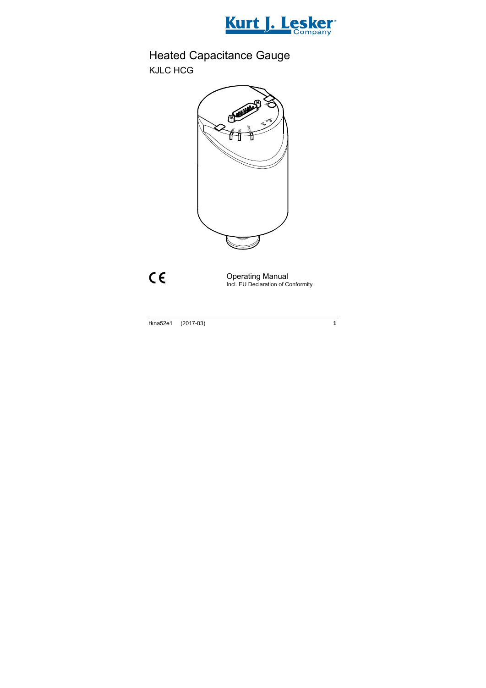

# Heated Capacitance Gauge KJLC HCG



 $C \in$ 

Operating Manual Incl. EU Declaration of Conformity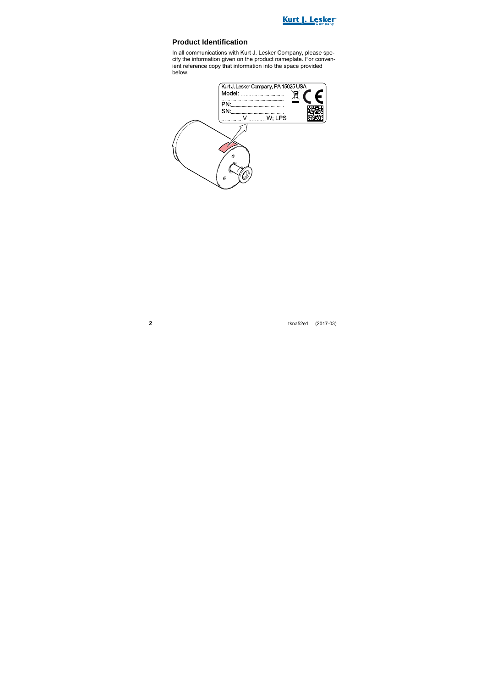

### **Product Identification**

In all communications with Kurt J. Lesker Company, please specify the information given on the product nameplate. For convenient reference copy that information into the space provided below.

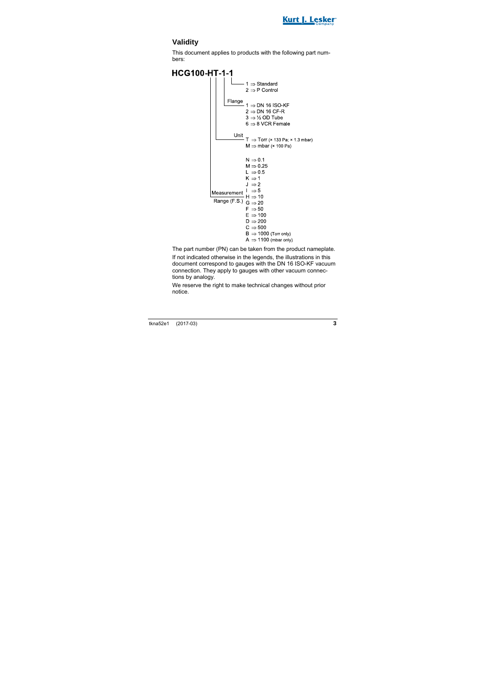

## **Validity**

This document applies to products with the following part numbers:

**HCG100-HT-1-1**  $1 \Rightarrow$  Standard  $2 \Rightarrow P$  Control Flange  $1 \Rightarrow$  DN 16 ISO-KF  $2 \Rightarrow$  DN 16 CF-R  $3 \Rightarrow \frac{1}{2}$  OD Tube  $6 \Rightarrow 8$  VCR Female Unit - T ⇒ Torr (× 133 Pa; × 1.3 mbar)  $M \Rightarrow mbar$  ( $\times$  100 Pa)  $N \Rightarrow 0.1$  $M \Rightarrow 0.25$  $L \Rightarrow 0.5$  $K \Rightarrow 1$  $J \Rightarrow 2$  $\vert \Rightarrow 5$ Measurement  $H \Rightarrow 10$ Range (F S )  $G \Rightarrow 20$  $F \rightarrow 50$  $F \rightarrow 100$  $D \Rightarrow 200$  $C \Rightarrow 500$  $B \Rightarrow 1000$  (Torr only)  $A \Rightarrow 1100$  (mbar only)

The part number (PN) can be taken from the product nameplate. If not indicated otherwise in the legends, the illustrations in this document correspond to gauges with the DN 16 ISO-KF vacuum connection. They apply to gauges with other vacuum connections by analogy.

We reserve the right to make technical changes without prior notice.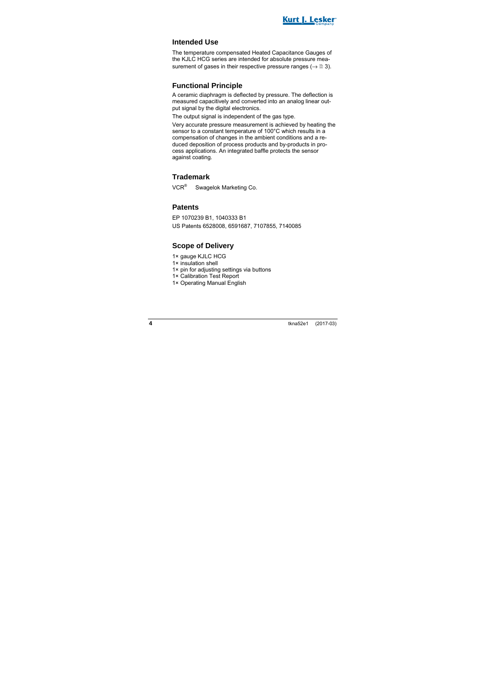

### **Intended Use**

The temperature compensated Heated Capacitance Gauges of the KJLC HCG series are intended for absolute pressure measurement of gases in their respective pressure ranges ( $\rightarrow \mathbb{B}$  3).

### **Functional Principle**

A ceramic diaphragm is deflected by pressure. The deflection is measured capacitively and converted into an analog linear output signal by the digital electronics.

The output signal is independent of the gas type.

Very accurate pressure measurement is achieved by heating the sensor to a constant temperature of 100°C which results in a compensation of changes in the ambient conditions and a reduced deposition of process products and by-products in process applications. An integrated baffle protects the sensor against coating.

### **Trademark**

VCR® Swagelok Marketing Co.

### **Patents**

EP 1070239 B1, 1040333 B1 US Patents 6528008, 6591687, 7107855, 7140085

### **Scope of Delivery**

- 1× gauge KJLC HCG
- 1× insulation shell
- 1× pin for adjusting settings via buttons
- 1× Calibration Test Report
- 1× Operating Manual English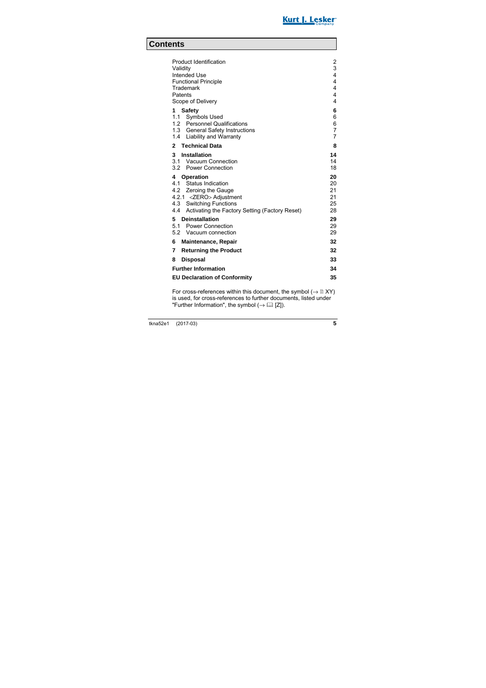

## **Contents**

| <b>Product Identification</b><br>Validity<br>Intended Use<br><b>Functional Principle</b><br>Trademark<br>Patents<br>Scope of Delivery                                                 | $\overline{2}$<br>3<br>4<br>4<br>4<br>4<br>$\overline{4}$ |
|---------------------------------------------------------------------------------------------------------------------------------------------------------------------------------------|-----------------------------------------------------------|
| <b>Safety</b><br>1<br>1.1 Symbols Used                                                                                                                                                | 6<br>6                                                    |
| 1.2 Personnel Qualifications<br>1.3 General Safety Instructions<br>1.4 Liability and Warranty                                                                                         | 6<br>$\overline{7}$<br>7                                  |
| 2 Technical Data                                                                                                                                                                      | 8                                                         |
| Installation<br>3<br>3.1 Vacuum Connection<br>3.2 Power Connection                                                                                                                    | 14<br>14<br>18                                            |
| Operation<br>4<br>4.1 Status Indication<br>4.2 Zeroing the Gauge<br>4.2.1 <zero> Adjustment<br/>4.3 Switching Functions<br/>4.4 Activating the Factory Setting (Factory Reset)</zero> | 20<br>20<br>21<br>21<br>25<br>28                          |
| 5 Deinstallation<br>5.1 Power Connection<br>5.2 Vacuum connection                                                                                                                     | 29<br>29<br>29                                            |
| 6<br><b>Maintenance, Repair</b>                                                                                                                                                       | 32                                                        |
| 7<br><b>Returning the Product</b>                                                                                                                                                     | 32                                                        |
| <b>Disposal</b><br>8                                                                                                                                                                  | 33                                                        |
| <b>Further Information</b>                                                                                                                                                            |                                                           |
| <b>EU Declaration of Conformity</b>                                                                                                                                                   |                                                           |

For cross-references within this document, the symbol  $(\rightarrow \mathbb{B} XY)$ is used, for cross-references to further documents, listed under "Further Information", the symbol  $(\rightarrow \Box \Box \Box)$ .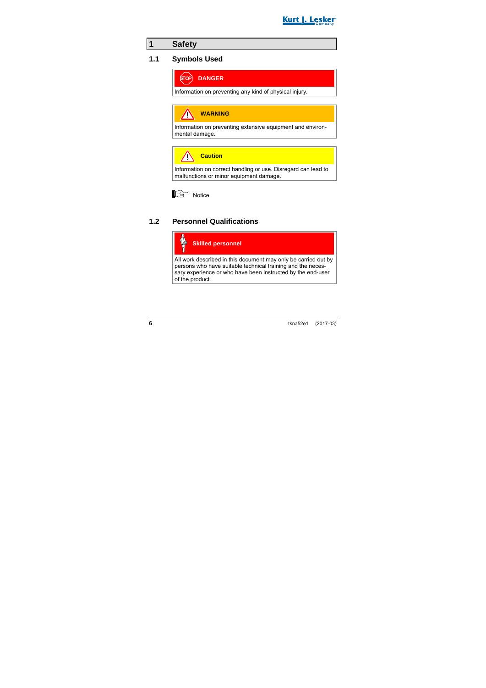

## **1 Safety**

### **1.1 Symbols Used**



Information on preventing any kind of physical injury.

**WARNING** Λ

Information on preventing extensive equipment and environmental damage.

**Caution**

Information on correct handling or use. Disregard can lead to malfunctions or minor equipment damage.



### **1.2 Personnel Qualifications**



All work described in this document may only be carried out by persons who have suitable technical training and the necessary experience or who have been instructed by the end-user of the product.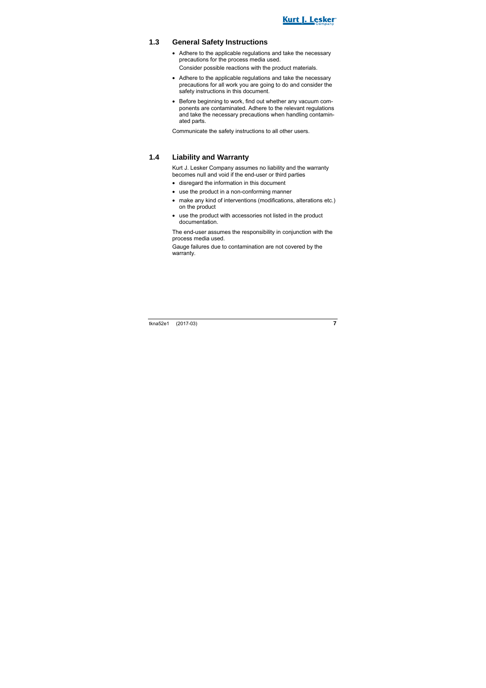

### **1.3 General Safety Instructions**

- Adhere to the applicable regulations and take the necessary precautions for the process media used. Consider possible reactions with the product materials.
- Adhere to the applicable regulations and take the necessary precautions for all work you are going to do and consider the safety instructions in this document.
- Before beginning to work, find out whether any vacuum components are contaminated. Adhere to the relevant regulations and take the necessary precautions when handling contaminated parts.

Communicate the safety instructions to all other users.

### **1.4 Liability and Warranty**

Kurt J. Lesker Company assumes no liability and the warranty becomes null and void if the end-user or third parties

- disregard the information in this document
- use the product in a non-conforming manner
- make any kind of interventions (modifications, alterations etc.) on the product
- use the product with accessories not listed in the product documentation.

The end-user assumes the responsibility in conjunction with the process media used.

Gauge failures due to contamination are not covered by the warranty.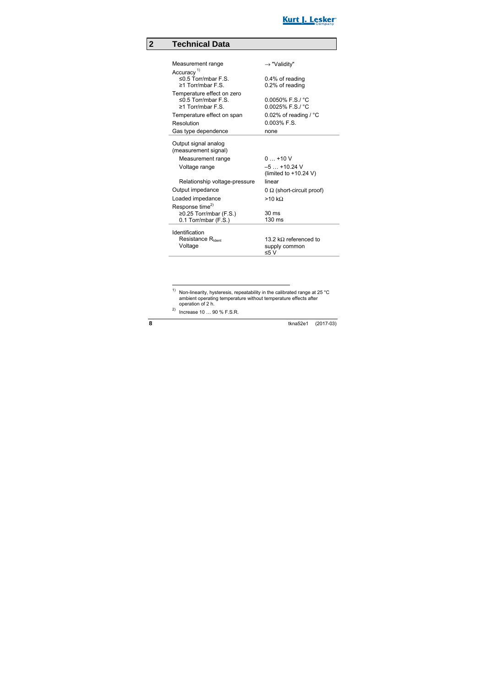

## **2 Technical Data**

| Measurement range                               | $\rightarrow$ "Validity"                       |
|-------------------------------------------------|------------------------------------------------|
| Accuracy <sup>1)</sup>                          |                                                |
| ≤0.5 Torr/mbar $F.S.$                           | 0.4% of reading                                |
| ≥1 Torr/mbar $F S$                              | 0.2% of reading                                |
| Temperature effect on zero                      |                                                |
| ≤0.5 Torr/mbar $F.S.$<br>$\geq$ 1 Torr/mbar F S | $0.0050\%$ F.S./ $°C$<br>$0.0025\%$ F.S./ $°C$ |
|                                                 |                                                |
| Temperature effect on span                      | 0.02% of reading / $^{\circ}$ C                |
| Resolution                                      | $0.003\%$ F.S.                                 |
| Gas type dependence                             | none                                           |
| Output signal analog                            |                                                |
| (measurement signal)                            |                                                |
|                                                 | $0+10V$                                        |
| Measurement range                               |                                                |
| Voltage range                                   | $-5+10.24$ V<br>(limited to $+10.24$ V)        |
| Relationship voltage-pressure                   | linear                                         |
| Output impedance                                | $0 \Omega$ (short-circuit proof)               |
| Loaded impedance                                | >10 kQ                                         |
| Response time <sup>2)</sup>                     |                                                |
| ≥0.25 Torr/mbar (F.S.)                          | 30 <sub>ms</sub>                               |
| 0.1 Torr/mbar (F.S.)                            | 130 ms                                         |
| Identification                                  |                                                |
| Resistance R <sub>Ident</sub>                   | 13.2 k $\Omega$ referenced to                  |
| Voltage                                         | supply common                                  |
|                                                 | ≤5 V                                           |

2) Increase 10 … 90 % F.S.R.

1

<sup>&</sup>lt;sup>1)</sup> Non-linearity, hysteresis, repeatability in the calibrated range at 25  $^{\circ}$ C ambient operating temperature without temperature effects after operation of 2 h.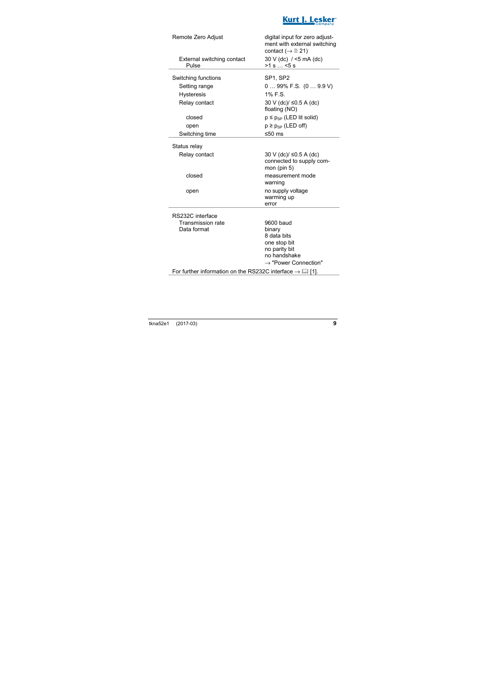

| Remote Zero Adjust                                                      | digital input for zero adjust-<br>ment with external switching<br>contact ( $\rightarrow \mathbb{B}$ 21) |  |
|-------------------------------------------------------------------------|----------------------------------------------------------------------------------------------------------|--|
| External switching contact<br>Pulse                                     | $30 V$ (dc) / <5 mA (dc)<br>$>1$ s $\dots$ <5 s                                                          |  |
| Switching functions                                                     | SP1, SP2                                                                                                 |  |
| Setting range                                                           | $099\%$ F.S. $(09.9 V)$                                                                                  |  |
| <b>Hysteresis</b>                                                       | $1\%$ F S                                                                                                |  |
| Relay contact                                                           | 30 V (dc)/ ≤0.5 A (dc)<br>floating (NO)                                                                  |  |
| closed                                                                  | $p \leq p_{SP}$ (LED lit solid)                                                                          |  |
| open                                                                    | $p \ge p_{SP}$ (LED off)                                                                                 |  |
| Switching time                                                          | ≤50 $ms$                                                                                                 |  |
| Status relay                                                            |                                                                                                          |  |
| Relay contact                                                           | 30 V (dc)/ ≤0.5 A (dc)<br>connected to supply com-<br>mon (pin $5$ )                                     |  |
| closed                                                                  | measurement mode<br>warning                                                                              |  |
| open                                                                    | no supply voltage<br>warming up<br>error                                                                 |  |
| RS232C interface                                                        |                                                                                                          |  |
| <b>Transmission rate</b>                                                | 9600 baud                                                                                                |  |
| Data format                                                             | binary                                                                                                   |  |
|                                                                         | 8 data bits                                                                                              |  |
|                                                                         | one stop bit<br>no parity bit                                                                            |  |
|                                                                         | no handshake                                                                                             |  |
|                                                                         | $\rightarrow$ "Power Connection"                                                                         |  |
| For further information on the RS232C interface $\rightarrow \Box$ [1]. |                                                                                                          |  |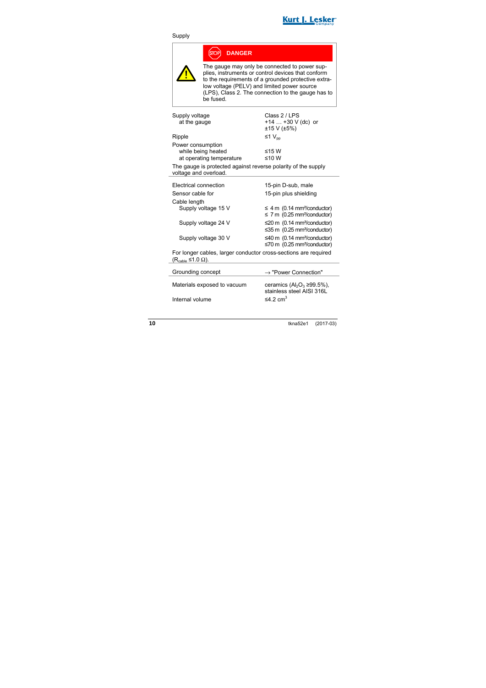

### Supply

|                                                                                                                                                                                | <b>DANGER</b>               |                                                                                                                                                                                                                                                                 |
|--------------------------------------------------------------------------------------------------------------------------------------------------------------------------------|-----------------------------|-----------------------------------------------------------------------------------------------------------------------------------------------------------------------------------------------------------------------------------------------------------------|
|                                                                                                                                                                                | be fused.                   | The gauge may only be connected to power sup-<br>plies, instruments or control devices that conform<br>to the requirements of a grounded protective extra-<br>low voltage (PELV) and limited power source<br>(LPS), Class 2. The connection to the gauge has to |
| Supply voltage<br>at the gauge                                                                                                                                                 |                             | Class 2 / LPS<br>+14 $\dots$ +30 V (dc) or<br>±15 V (±5%)                                                                                                                                                                                                       |
| Ripple                                                                                                                                                                         |                             | ≤1 $V_{nn}$                                                                                                                                                                                                                                                     |
| Power consumption<br>while being heated<br>≤15W<br>≤10 W<br>at operating temperature<br>The gauge is protected against reverse polarity of the supply<br>voltage and overload. |                             |                                                                                                                                                                                                                                                                 |
| Electrical connection                                                                                                                                                          |                             | 15-pin D-sub, male                                                                                                                                                                                                                                              |
| Sensor cable for                                                                                                                                                               |                             | 15-pin plus shielding                                                                                                                                                                                                                                           |
| Cable length                                                                                                                                                                   | Supply voltage 15 V         | $\leq$ 4 m (0.14 mm <sup>2</sup> /conductor)<br>$\leq$ 7 m (0.25 mm <sup>2</sup> /conductor)                                                                                                                                                                    |
|                                                                                                                                                                                | Supply voltage 24 V         | $\leq$ 20 m (0.14 mm <sup>2</sup> /conductor)<br>≤35 m (0.25 mm <sup>2</sup> /conductor)                                                                                                                                                                        |
|                                                                                                                                                                                | Supply voltage 30 V         | ≤40 m (0.14 mm <sup>2</sup> /conductor)<br>≤70 m (0.25 mm <sup>2</sup> /conductor)                                                                                                                                                                              |
| For longer cables, larger conductor cross-sections are required<br>$(Rcable \leq 1.0 \Omega)$ .                                                                                |                             |                                                                                                                                                                                                                                                                 |
| Grounding concept                                                                                                                                                              |                             | $\rightarrow$ "Power Connection"                                                                                                                                                                                                                                |
|                                                                                                                                                                                | Materials exposed to vacuum | ceramics $(AI_2O_3 \ge 99.5\%)$ ,                                                                                                                                                                                                                               |

Internal volume

ceramics  $(A_2O_3 \ge 99.5\%)$ ,<br>stainless steel AISI 316L<br> $\le 4.2$  cm<sup>3</sup>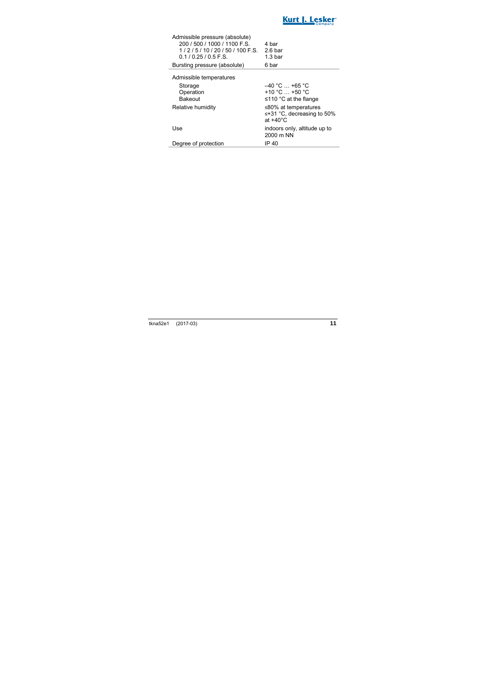

| Admissible pressure (absolute) |                    |
|--------------------------------|--------------------|
| 200 / 500 / 1000 / 1100 F.S.   | 4 bar              |
| $1/2/5/10/20/50/100$ F.S.      | 2.6 <sub>bar</sub> |
| $0.1/0.25/0.5$ F.S.            | 1.3 <sub>bar</sub> |
| Bursting pressure (absolute)   | 6 bar              |
|                                |                    |

Admissible temperatures

| Storage<br>Operation<br><b>Bakeout</b> | $-40$ °C $$ +65 °C<br>+10 °C $$ +50 °C<br>$\leq$ 110 °C at the flange    |
|----------------------------------------|--------------------------------------------------------------------------|
| Relative humidity                      | ≤80% at temperatures<br>≤+31 °C, decreasing to 50%<br>at $+40^{\circ}$ C |
| Use                                    | indoors only, altitude up to<br>2000 m NN                                |
| Degree of protection                   | IP 40                                                                    |

i.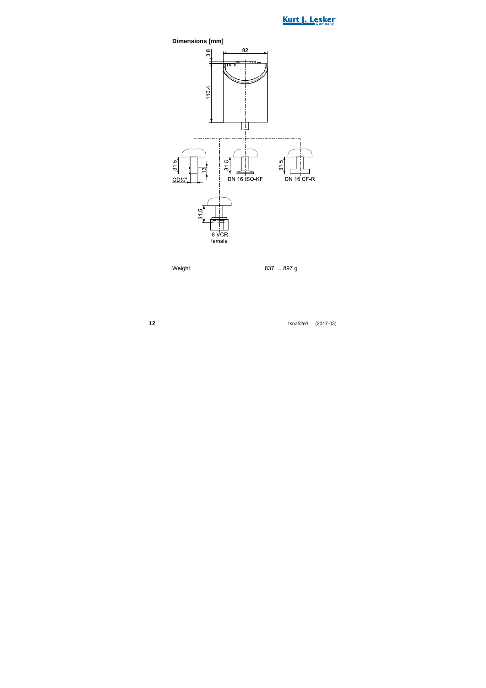



Weight 837 ... 897 g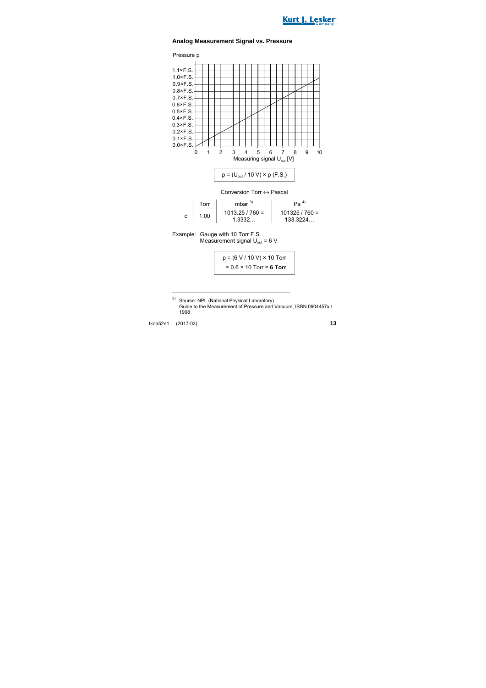



### **Analog Measurement Signal vs. Pressure**



|   | Torr | mhar $^{3)}$                | Pa <sup>4</sup>            |
|---|------|-----------------------------|----------------------------|
| с | 1.00 | $1013.25 / 760 =$<br>1.3332 | $101325/760 =$<br>133.3224 |

Example: Gauge with 10 Torr F.S. Measurement signal  $U_{\text{out}} = 6$  V

$$
p = (6 V / 10 V) \times 10
$$
 Torr  
= 0.6 × 10 Torr = **6 Torr**

1

<sup>3)</sup> Source: NPL (National Physical Laboratory) Guide to the Measurement of Pressure and Vacuum, ISBN 0904457x / 1998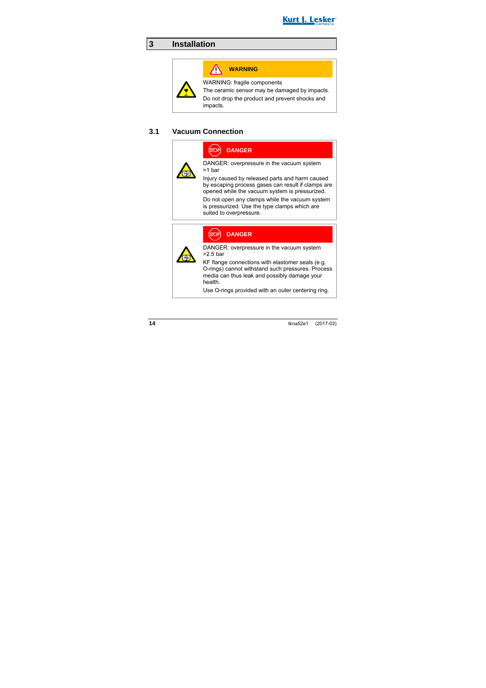

## **3 Installation**

# **WARNING**

WARNING: fragile components

The ceramic sensor may be damaged by impacts.

Do not drop the product and prevent shocks and impacts.

### **3.1 Vacuum Connection**

**DANGER**

DANGER: overpressure in the vacuum system >1 bar

Injury caused by released parts and harm caused by escaping process gases can result if clamps are opened while the vacuum system is pressurized.

Do not open any clamps while the vacuum system is pressurized. Use the type clamps which are suited to overpressure.



### **DANGER**

DANGER: overpressure in the vacuum system >2.5 bar

KF flange connections with elastomer seals (e.g. O-rings) cannot withstand such pressures. Process media can thus leak and possibly damage your health.

Use O-rings provided with an outer centering ring.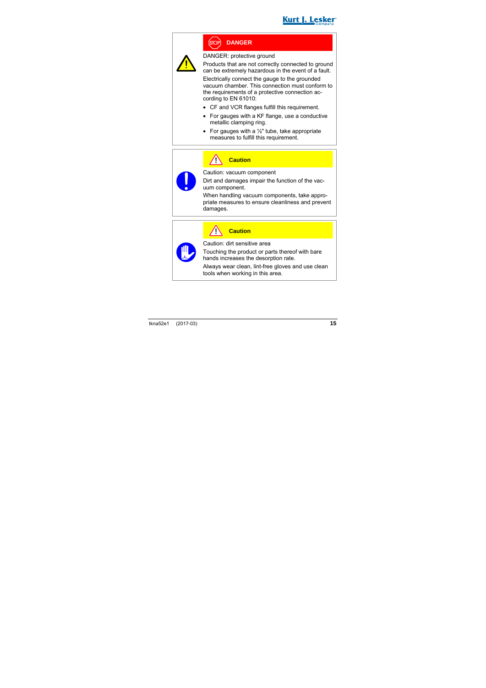

## **DANGER**

DANGER: protective ground

Products that are not correctly connected to ground can be extremely hazardous in the event of a fault.

Electrically connect the gauge to the grounded vacuum chamber. This connection must conform to the requirements of a protective connection according to EN 61010:

- CF and VCR flanges fulfill this requirement.
- For gauges with a KF flange, use a conductive metallic clamping ring.
- For gauges with a  $\frac{1}{2}$ " tube, take appropriate measures to fulfill this requirement.



## **Caution**

Caution: vacuum component

Dirt and damages impair the function of the vacuum component.

When handling vacuum components, take appropriate measures to ensure cleanliness and prevent damages.

**Caution**

Caution: dirt sensitive area

Touching the product or parts thereof with bare hands increases the desorption rate.

Always wear clean, lint-free gloves and use clean tools when working in this area.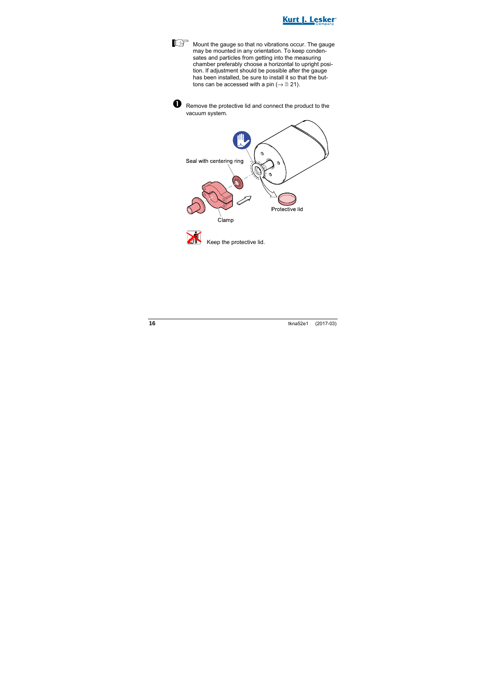

Mount the gauge so that no vibrations occur. The gauge may be mounted in any orientation. To keep condensates and particles from getting into the measuring chamber preferably choose a horizontal to upright position. If adjustment should be possible after the gauge has been installed, be sure to install it so that the buttons can be accessed with a pin ( $\rightarrow \mathbb{B}$  21).



 $\bullet$  Remove the protective lid and connect the product to the vacuum system.



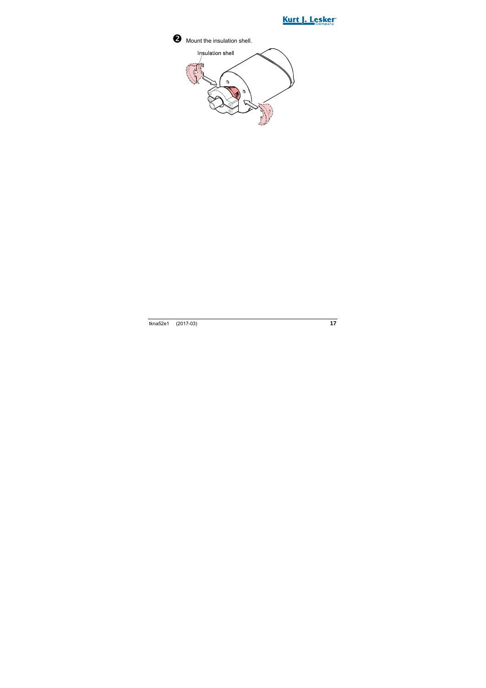

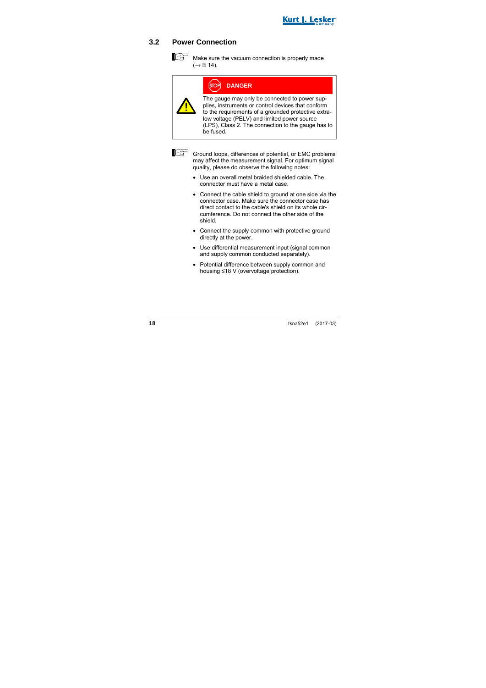

### **3.2 Power Connection**

Make sure the vacuum connection is properly made  $(\rightarrow \Box$  14).

| OP] : | <b>DANGER</b> |  |
|-------|---------------|--|
|       |               |  |

The gauge may only be connected to power supplies, instruments or control devices that conform to the requirements of a grounded protective extralow voltage (PELV) and limited power source (LPS), Class 2. The connection to the gauge has to be fused.



Ground loops, differences of potential, or EMC problems may affect the measurement signal. For optimum signal quality, please do observe the following notes:

- Use an overall metal braided shielded cable. The connector must have a metal case.
- Connect the cable shield to ground at one side via the connector case. Make sure the connector case has direct contact to the cable's shield on its whole circumference. Do not connect the other side of the shield.
- Connect the supply common with protective ground directly at the power.
- Use differential measurement input (signal common and supply common conducted separately).
- Potential difference between supply common and housing ≤18 V (overvoltage protection).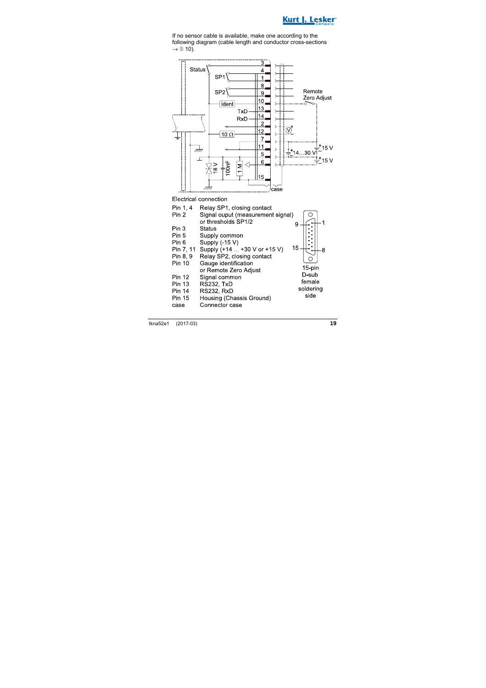

If no sensor cable is available, make one according to the following diagram (cable length and conductor cross-sections  $\rightarrow \mathbb{B}$  10).



Electrical connection

| Pin 1, 4      | Relay SP1, closing contact        |           |
|---------------|-----------------------------------|-----------|
| Pin 2         | Signal ouput (measurement signal) |           |
|               | or thresholds SP1/2               | 9         |
| Pin 3         | Status                            |           |
| Pin 5         | Supply common                     |           |
| Pin 6         | Supply (-15 V)                    |           |
| Pin 7, 11     | Supply (+14 +30 V or +15 V)       | 15        |
| Pin 8, 9      | Relay SP2, closing contact        |           |
| Pin 10        | Gauge identification              |           |
|               | or Remote Zero Adjust             | 15-pin    |
| <b>Pin 12</b> | Signal common                     | D-sub     |
| <b>Pin 13</b> | <b>RS232. TxD</b>                 | female    |
| <b>Pin 14</b> | <b>RS232, RxD</b>                 | soldering |
| <b>Pin 15</b> | Housing (Chassis Ground)          | side      |
| case          | Connector case                    |           |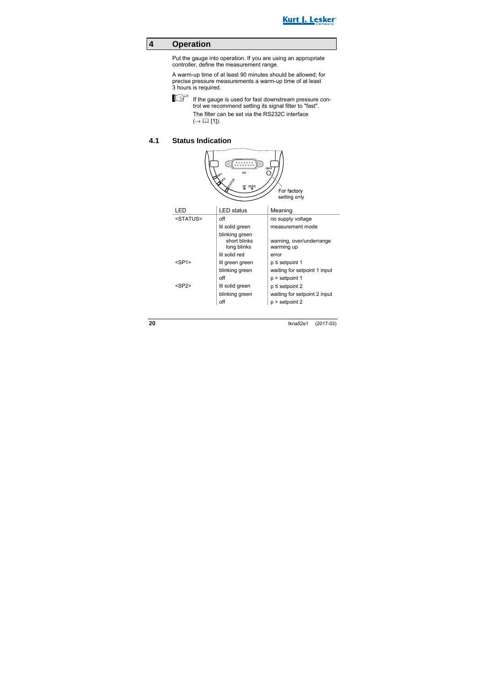

### **4 Operation**

Put the gauge into operation. If you are using an appropriate controller, define the measurement range.

A warm-up time of at least 90 minutes should be allowed; for precise pressure measurements a warm-up time of at least 3 hours is required.



If the gauge is used for fast downstream pressure control we recommend setting its signal filter to "fast".

> The filter can be set via the RS232C interface  $(\rightarrow \Box$  [1]).

### **4.1 Status Indication**

| .<br>.<br>DIAG<br><b>VO</b><br>مې<br>SP ZERO<br>For factory<br>setting only |                                               |                                        |  |
|-----------------------------------------------------------------------------|-----------------------------------------------|----------------------------------------|--|
| LED                                                                         | <b>LED</b> status                             | Meaning                                |  |
| <status></status>                                                           | off                                           | no supply voltage                      |  |
|                                                                             | lit solid green                               | measurement mode                       |  |
|                                                                             | blinking green<br>short blinks<br>long blinks | warning, over/underrange<br>warming up |  |
|                                                                             | lit solid red                                 | error                                  |  |
| $<$ SP1 $>$                                                                 | lit green green                               | p ≤ setpoint 1                         |  |
|                                                                             | blinking green                                | waiting for setpoint 1 input           |  |
|                                                                             | off                                           | p > setpoint 1                         |  |
| $<$ SP2 $>$                                                                 | lit solid green                               | $p \le$ setpoint 2                     |  |
|                                                                             | blinking green                                | waiting for setpoint 2 input           |  |
|                                                                             | off                                           | p > setpoint 2                         |  |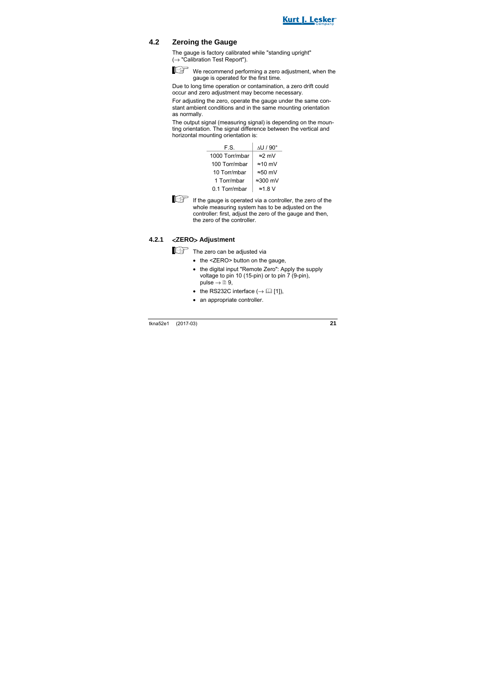

## **4.2 Zeroing the Gauge**

The gauge is factory calibrated while "standing upright"  $(\rightarrow$  "Calibration Test Report").



We recommend performing a zero adjustment, when the gauge is operated for the first time.

Due to long time operation or contamination, a zero drift could occur and zero adjustment may become necessary.

For adjusting the zero, operate the gauge under the same constant ambient conditions and in the same mounting orientation as normally.

The output signal (measuring signal) is depending on the mounting orientation. The signal difference between the vertical and horizontal mounting orientation is:

| F.S.           | $\Delta$ U / 90 $^{\circ}$ |
|----------------|----------------------------|
| 1000 Torr/mbar | $\approx$ 2 mV             |
| 100 Torr/mbar  | $\approx$ 10 mV            |
| 10 Torr/mbar   | $\approx 50$ mV            |
| 1 Torr/mbar    | $\approx$ 300 mV           |
| 0.1 Torr/mbar  | $\approx$ 1.8 V            |



 $\mathbb{E}$  If the gauge is operated via a controller, the zero of the whole measuring system has to be adjusted on the controller: first, adjust the zero of the gauge and then, the zero of the controller.

### **4.2.1** <**ZERO**> **Adjus**t**ment**

The zero can be adjusted via

- the <ZERO> button on the gauge.
- the digital input "Remote Zero": Apply the supply voltage to pin 10 (15-pin) or to pin 7 (9-pin), pulse  $\rightarrow \mathbb{B}$  9.
- the RS232C interface  $(\rightarrow \Box$  [1]).
- an appropriate controller.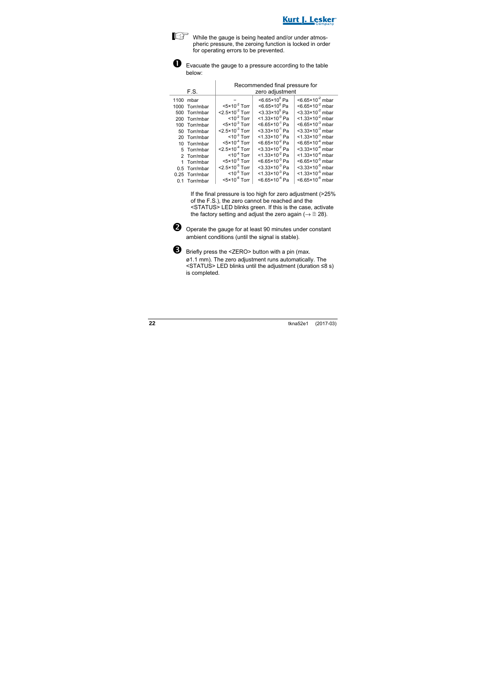While the gauge is being heated and/or under atmospheric pressure, the zeroing function is locked in order for operating errors to be prevented.



 $\overline{1}$ 

 $\bullet$  Evacuate the gauge to a pressure according to the table below:

|           |                |                                          | Recommended final pressure for |                                         |
|-----------|----------------|------------------------------------------|--------------------------------|-----------------------------------------|
|           | F.S.           | zero adjustment                          |                                |                                         |
| 1100 mbar |                |                                          | $< 6.65 \times 10^{0}$ Pa      | $<6.65\times10^{-2}$ mbar               |
|           | 1000 Torr/mbar | $<$ 5×10 <sup>-2</sup> Torr              | $< 6.65 \times 10^{0}$ Pa      | $<6.65\times10^{-2}$ mbar               |
|           | 500 Torr/mbar  | $<$ 2.5 $\times$ 10 <sup>-2</sup> Torr   | $<$ 3.33×10 $^{\circ}$ Pa      | $<$ 3.33×10 <sup>-2</sup> mbar          |
|           | 200 Torr/mbar  | $<$ 10 <sup>-2</sup> Torr                | $<$ 1.33×10 <sup>-0</sup> Pa   | $<$ 1.33×10 <sup>-2</sup> mbar          |
|           | 100 Torr/mbar  | $<$ 5×10 <sup>-3</sup> Torr              | $<6.65\times10^{-1}$ Pa        | $< 6.65 \times 10^{-3}$ mbar            |
|           | 50 Torr/mbar   | $<$ 2.5 $\times$ 10 <sup>-3</sup> Torr   | $<$ 3.33×10 <sup>-1</sup> Pa   | $<$ 3.33×10 <sup>-3</sup> mbar          |
|           | 20 Torr/mbar   | $<$ 10 <sup>-3</sup> Torr                | $<$ 1.33×10 <sup>-1</sup> Pa   | $<$ 1.33×10 <sup>-3</sup> mbar          |
|           | 10 Torr/mbar   | $<$ 5×10 <sup><math>-4</math></sup> Torr | $<6.65\times10^{-2}$ Pa        | $<$ 6.65 $\times$ 10 <sup>-4</sup> mbar |
|           | 5 Torr/mbar    | $<$ 2.5 $\times$ 10 <sup>-4</sup> Torr   | $<$ 3.33×10 <sup>-2</sup> Pa   | $<$ 3.33 $\times$ 10 <sup>-4</sup> mbar |
|           | 2 Torr/mbar    | $< 10^{-4}$ Torr                         | $<$ 1.33×10 <sup>-2</sup> Pa   | $<$ 1.33×10 <sup>-4</sup> mbar          |
|           | 1 Torr/mbar    | $<$ 5 $\times$ 10 <sup>-5</sup> Torr     | $< 6.65 \times 10^{-3}$ Pa     | $< 6.65 \times 10^{-5}$ mbar            |
|           | 0.5 Torr/mbar  | $<$ 2.5 $\times$ 10 <sup>-5</sup> Torr   | $<$ 3.33×10 <sup>-3</sup> Pa   | $<$ 3.33×10 <sup>-5</sup> mbar          |
|           | 0.25 Torr/mbar | $<$ 10 <sup>-5</sup> Torr                | $<$ 1.33×10 <sup>-3</sup> Pa   | $<$ 1.33×10 <sup>-5</sup> mbar          |
|           | 0.1 Torr/mbar  | $<$ 5×10 <sup>-6</sup> Torr              | $<6.65\times10^{4}$ Pa         | $<$ 6.65×10 <sup>-6</sup> mbar          |

If the final pressure is too high for zero adjustment (>25% of the F.S.), the zero cannot be reached and the <STATUS> LED blinks green. If this is the case, activate the factory setting and adjust the zero again ( $\rightarrow \mathbb{B}$  28).



 $\bullet$  Operate the gauge for at least 90 minutes under constant ambient conditions (until the signal is stable).



B Briefly press the <ZERO> button with a pin (max. ø1.1 mm). The zero adjustment runs automatically. The <STATUS> LED blinks until the adjustment (duration ≤8 s) is completed.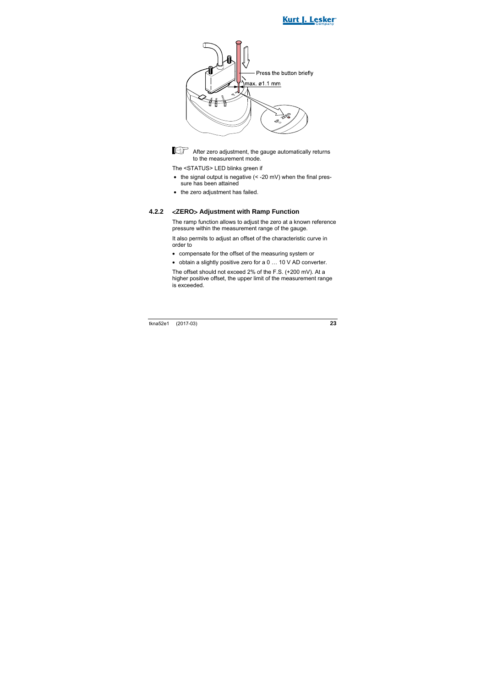





After zero adjustment, the gauge automatically returns to the measurement mode.

The <STATUS> LED blinks green if

- $\bullet$  the signal output is negative  $\left($  < -20 mV) when the final pressure has been attained
- the zero adiustment has failed.

### **4.2.2** <**ZERO**> **Adjustment with Ramp Function**

The ramp function allows to adjust the zero at a known reference pressure within the measurement range of the gauge.

It also permits to adjust an offset of the characteristic curve in order to

- compensate for the offset of the measuring system or
- obtain a slightly positive zero for a 0 … 10 V AD converter.

The offset should not exceed 2% of the F.S. (+200 mV). At a higher positive offset, the upper limit of the measurement range is exceeded.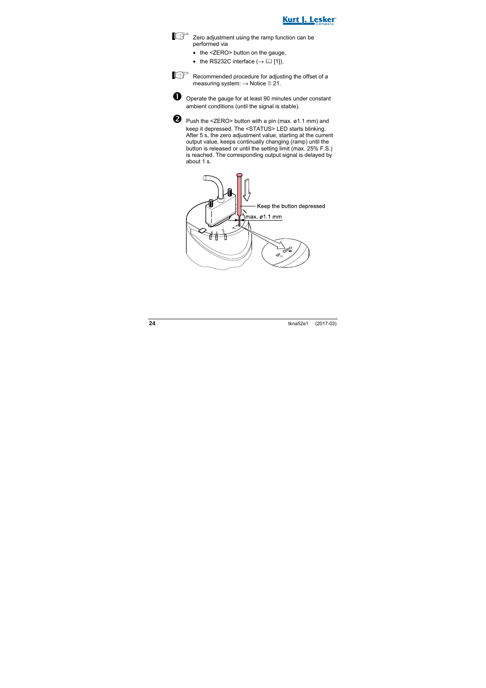



 $\mathbb{E}$  Zero adjustment using the ramp function can be performed via

- the <ZERO> button on the gauge.
- the RS232C interface  $(\rightarrow \Box$  [1]).



Recommended procedure for adjusting the offset of a measuring system:  $\rightarrow$  Notice **21.** 



 $\bullet$  Operate the gauge for at least 90 minutes under constant ambient conditions (until the signal is stable).



 Push the <ZERO> button with a pin (max. ø1.1 mm) and keep it depressed. The <STATUS> LED starts blinking. After 5 s, the zero adjustment value, starting at the current output value, keeps continually changing (ramp) until the button is released or until the setting limit (max. 25% F.S.) is reached. The corresponding output signal is delayed by about 1 s.

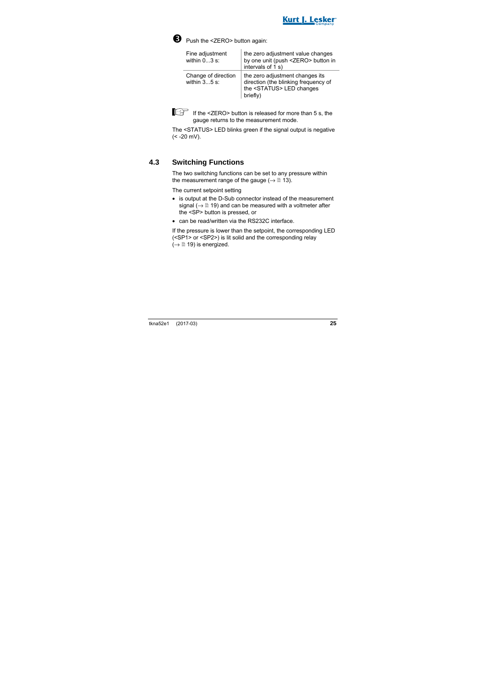



Push the <ZERO> button again:

| Fine adjustment<br>within $03$ s:     | the zero adjustment value changes<br>by one unit (push <zero> button in<br/>intervals of 1 s)</zero>                      |
|---------------------------------------|---------------------------------------------------------------------------------------------------------------------------|
| Change of direction<br>within $35$ s: | the zero adjustment changes its<br>direction (the blinking frequency of<br>the <status> LED changes<br/>briefly)</status> |



If  $\text{If the}$  <ZERO> button is released for more than 5 s, the gauge returns to the measurement mode.

The <STATUS> LED blinks green if the signal output is negative  $(< -20$  mV).

### **4.3 Switching Functions**

The two switching functions can be set to any pressure within the measurement range of the gauge ( $\rightarrow \mathbb{R}$  13).

The current setpoint setting

- is output at the D-Sub connector instead of the measurement signal ( $\rightarrow \mathbb{B}$  19) and can be measured with a voltmeter after the <SP> button is pressed, or
- can be read/written via the RS232C interface.

If the pressure is lower than the setpoint, the corresponding LED (<SP1> or <SP2>) is lit solid and the corresponding relay  $(\rightarrow \mathbb{R}$  19) is energized.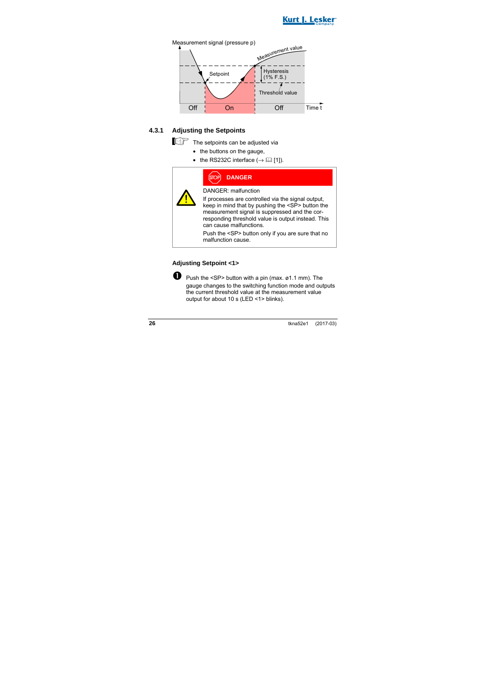



### **4.3.1 Adjusting the Setpoints**

The setpoints can be adjusted via

- the buttons on the gauge,
- the RS232C interface  $(\rightarrow \Box$  [1]).

| PP] | <b>DANGER</b> |  |
|-----|---------------|--|
|     |               |  |

DANGER: malfunction

If processes are controlled via the signal output, keep in mind that by pushing the <SP> button the measurement signal is suppressed and the corresponding threshold value is output instead. This can cause malfunctions.

Push the <SP> button only if you are sure that no malfunction cause.

### **Adjusting Setpoint <1>**

**P** Push the  $\leq$ SP> button with a pin (max.  $\emptyset$ 1.1 mm). The gauge changes to the switching function mode and outputs the current threshold value at the measurement value output for about 10 s (LED <1> blinks).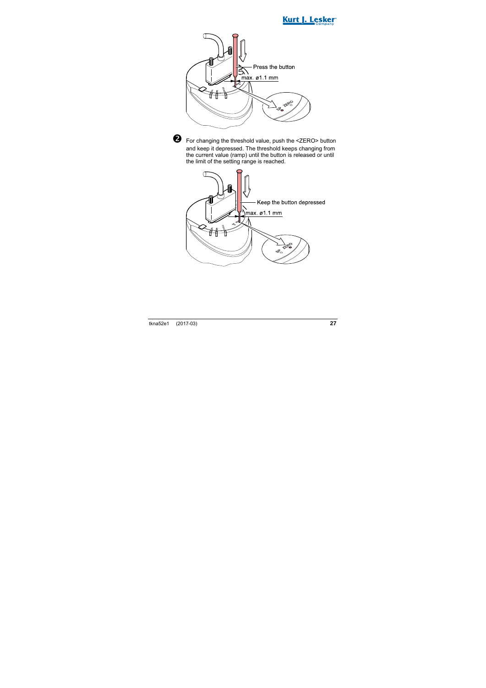





 For changing the threshold value, push the <ZERO> button and keep it depressed. The threshold keeps changing from the current value (ramp) until the button is released or until the limit of the setting range is reached.

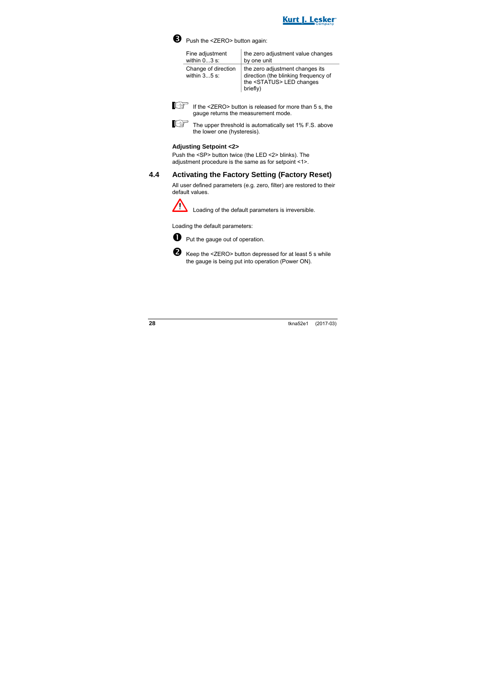



Push the <ZERO> button again:

| Fine adjustment                       | the zero adjustment value changes                                                                                         |
|---------------------------------------|---------------------------------------------------------------------------------------------------------------------------|
| within $03$ s:                        | by one unit                                                                                                               |
| Change of direction<br>within $35$ s: | the zero adjustment changes its<br>direction (the blinking frequency of<br>the <status> LED changes<br/>briefly)</status> |



 $\mathbb{E}$  If the <ZERO> button is released for more than 5 s, the gauge returns the measurement mode.

The upper threshold is automatically set 1% F.S. above the lower one (hysteresis).

### **Adjusting Setpoint <2>**

Push the <SP> button twice (the LED <2> blinks). The adjustment procedure is the same as for setpoint <1>.

## **4.4 Activating the Factory Setting (Factory Reset)**

All user defined parameters (e.g. zero, filter) are restored to their default values.



Loading of the default parameters is irreversible.

Loading the default parameters:



**D** Put the gauge out of operation.



Keep the <ZERO> button depressed for at least 5 s while the gauge is being put into operation (Power ON).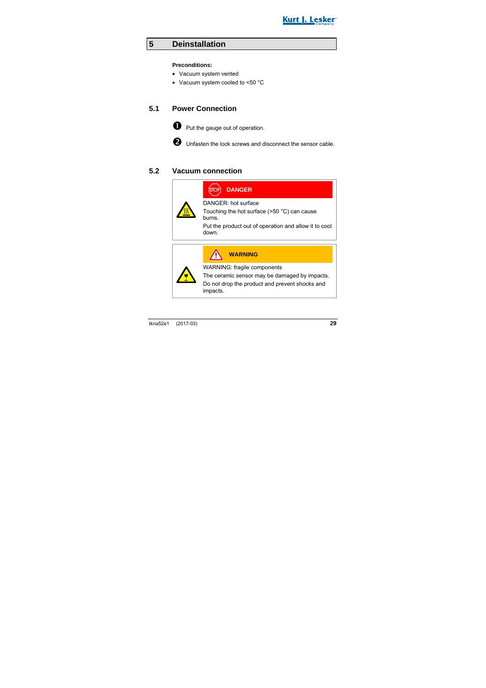

## **5 Deinstallation**

### **Preconditions:**

- Vacuum system vented
- Vacuum system cooled to <50 °C

### **5.1 Power Connection**



**O** Put the gauge out of operation.

 $\bullet$  Unfasten the lock screws and disconnect the sensor cable.

### **5.2 Vacuum connection**

| <b>DANGER</b>                                                           |
|-------------------------------------------------------------------------|
| DANGER: hot surface<br>Touching the hot surface (>50 °C) can cause      |
| burns.<br>Put the product out of operation and allow it to cool<br>down |
| <b>WARNING</b>                                                          |
|                                                                         |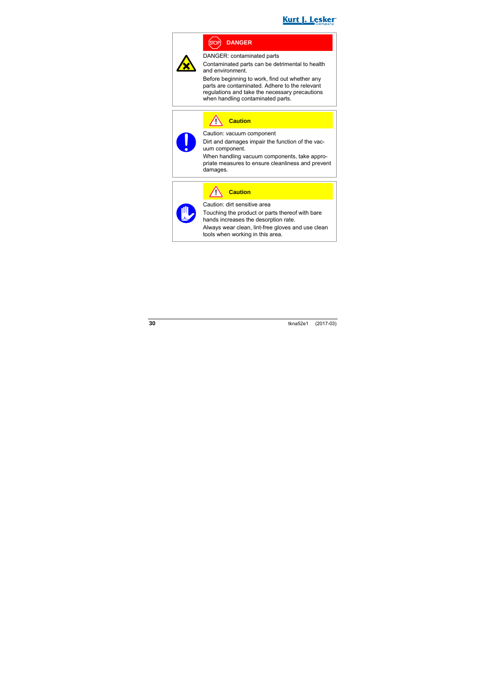

## **DANGER**



DANGER: contaminated parts

Contaminated parts can be detrimental to health and environment.

Before beginning to work, find out whether any parts are contaminated. Adhere to the relevant regulations and take the necessary precautions when handling contaminated parts.

**Caution**



Caution: vacuum component

Dirt and damages impair the function of the vacuum component.

When handling vacuum components, take appropriate measures to ensure cleanliness and prevent damages.

| 111 |  |
|-----|--|
|     |  |

**Caution** Caution: dirt sensitive area

Touching the product or parts thereof with bare hands increases the desorption rate.

Always wear clean, lint-free gloves and use clean tools when working in this area.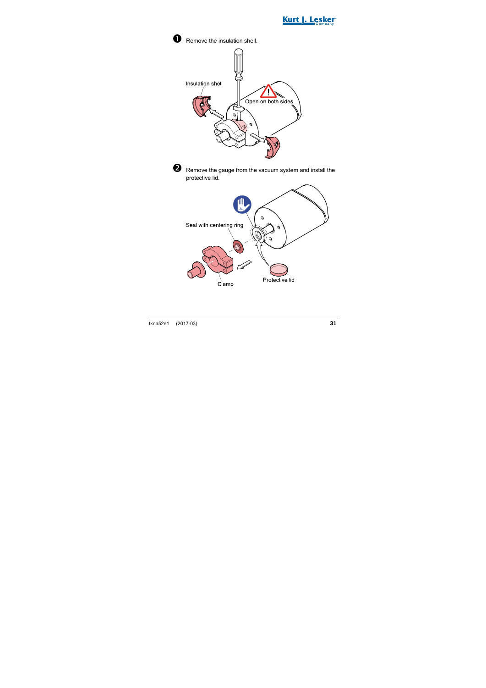

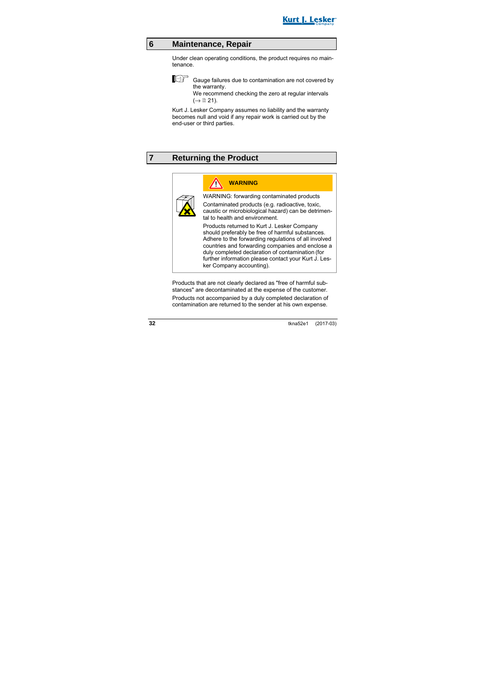

## **6 Maintenance, Repair**

Under clean operating conditions, the product requires no maintenance.

$$
\mathbb{E}^{\mathbb{B}}
$$

 Gauge failures due to contamination are not covered by the warranty.

We recommend checking the zero at regular intervals  $(\rightarrow \Box$  21).

Kurt J. Lesker Company assumes no liability and the warranty becomes null and void if any repair work is carried out by the end-user or third parties.

## **7 Returning the Product**



WARNING: forwarding contaminated products Contaminated products (e.g. radioactive, toxic, caustic or microbiological hazard) can be detrimental to health and environment.

Products returned to Kurt J. Lesker Company should preferably be free of harmful substances. Adhere to the forwarding regulations of all involved countries and forwarding companies and enclose a duly completed declaration of contamination (for further information please contact your Kurt J. Lesker Company accounting).

Products that are not clearly declared as "free of harmful substances" are decontaminated at the expense of the customer. Products not accompanied by a duly completed declaration of contamination are returned to the sender at his own expense.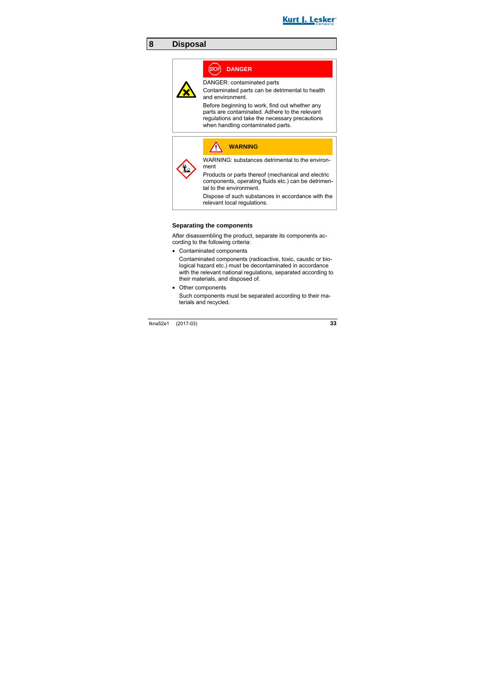

## **8 Disposal**

## **DANGER**

DANGER: contaminated parts

Contaminated parts can be detrimental to health and environment.

Before beginning to work, find out whether any parts are contaminated. Adhere to the relevant regulations and take the necessary precautions when handling contaminated parts.

|  | <b>WARNING</b>                                                                                                                       |
|--|--------------------------------------------------------------------------------------------------------------------------------------|
|  | WARNING: substances detrimental to the environ-<br>ment                                                                              |
|  | Products or parts thereof (mechanical and electric<br>components, operating fluids etc.) can be detrimen-<br>tal to the environment. |
|  | Dispose of such substances in accordance with the<br>relevant local regulations.                                                     |

### **Separating the components**

After disassembling the product, separate its components according to the following criteria:

• Contaminated components

Contaminated components (radioactive, toxic, caustic or biological hazard etc.) must be decontaminated in accordance with the relevant national regulations, separated according to their materials, and disposed of.

• Other components

Such components must be separated according to their materials and recycled.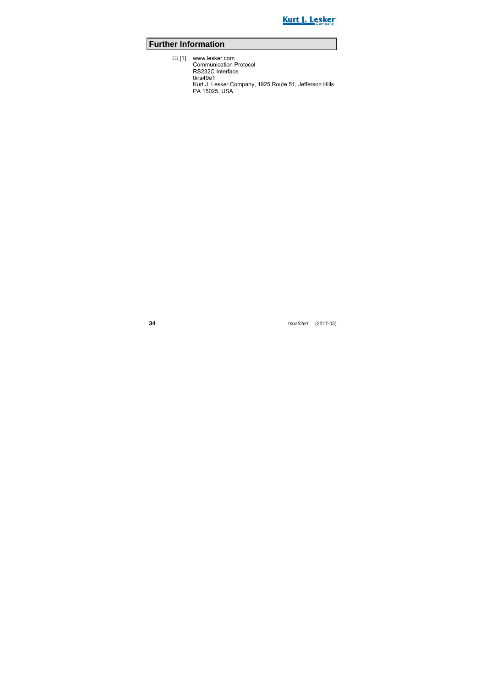

## **Further Information**

 [1] www.lesker.com Communication Protocol RS232C Interface tkra49e1 Kurt J. Lesker Company, 1925 Route 51, Jefferson Hills PA 15025, USA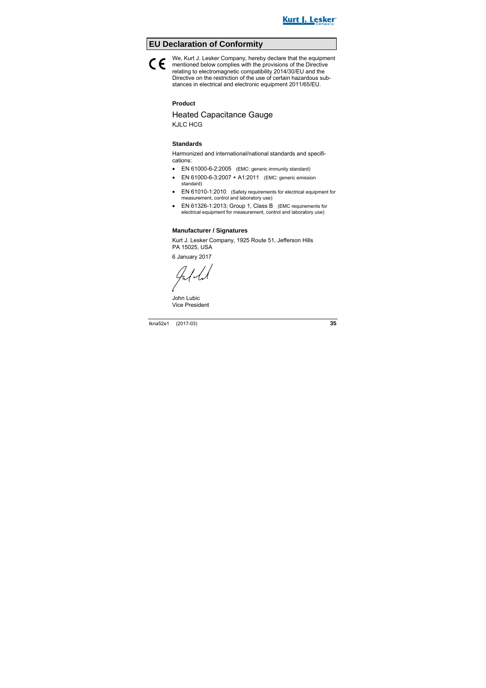

## **EU Declaration of Conformity**

### We, Kurt J. Lesker Company, hereby declare that the equipment mentioned below complies with the provisions of the Directive<br>relation to electromographic composibility 2014/20/EU and the relating to electromagnetic compatibility 2014/30/EU and the Directive on the restriction of the use of certain hazardous substances in electrical and electronic equipment 2011/65/EU.

### **Product**

# Heated Capacitance Gauge

KJLC HCG

### **Standards**

Harmonized and international/national standards and specifications:

- EN 61000-6-2:2005 (EMC: generic immunity standard)
- EN 61000-6-3:2007 + A1:2011 (EMC: generic emission standard)
- EN 61010-1:2010 (Safety requirements for electrical equipment for measurement, control and laboratory use)
- EN 61326-1:2013; Group 1, Class B (EMC requirements for electrical equipment for measurement, control and laboratory use)

### **Manufacturer / Signatures**

Kurt J. Lesker Company, 1925 Route 51, Jefferson Hills PA 15025, USA

6 January 2017

Jally

John Lubic Vice President